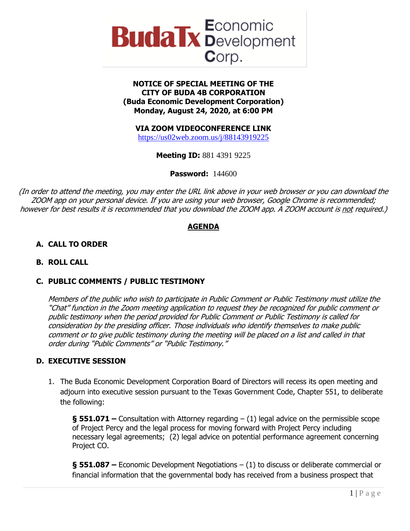

### **NOTICE OF SPECIAL MEETING OF THE CITY OF BUDA 4B CORPORATION (Buda Economic Development Corporation) Monday, August 24, 2020, at 6:00 PM**

# **VIA ZOOM VIDEOCONFERENCE LINK**

<https://us02web.zoom.us/j/88143919225>

**Meeting ID:** 881 4391 9225

**Password:** 144600

(In order to attend the meeting, you may enter the URL link above in your web browser or you can download the ZOOM app on your personal device. If you are using your web browser, Google Chrome is recommended; however for best results it is recommended that you download the ZOOM app. A ZOOM account is not required.)

## **AGENDA**

## **A. CALL TO ORDER**

#### **B. ROLL CALL**

## **C. PUBLIC COMMENTS / PUBLIC TESTIMONY**

Members of the public who wish to participate in Public Comment or Public Testimony must utilize the "Chat" function in the Zoom meeting application to request they be recognized for public comment or public testimony when the period provided for Public Comment or Public Testimony is called for consideration by the presiding officer. Those individuals who identify themselves to make public comment or to give public testimony during the meeting will be placed on a list and called in that order during "Public Comments" or "Public Testimony."

#### **D. EXECUTIVE SESSION**

1. The Buda Economic Development Corporation Board of Directors will recess its open meeting and adjourn into executive session pursuant to the Texas Government Code, Chapter 551, to deliberate the following:

**§ 551.071 –** Consultation with Attorney regarding – (1) legal advice on the permissible scope of Project Percy and the legal process for moving forward with Project Percy including necessary legal agreements; (2) legal advice on potential performance agreement concerning Project CO.

**§ 551.087 –** Economic Development Negotiations – (1) to discuss or deliberate commercial or financial information that the governmental body has received from a business prospect that